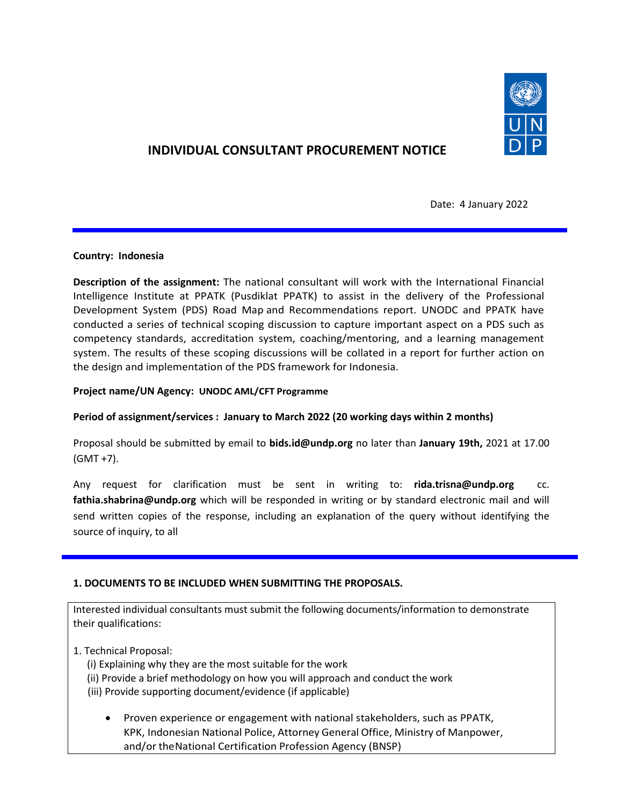

# **INDIVIDUAL CONSULTANT PROCUREMENT NOTICE**

Date: 4 January 2022

## **Country: Indonesia**

**Description of the assignment:** The national consultant will work with the International Financial Intelligence Institute at PPATK (Pusdiklat PPATK) to assist in the delivery of the Professional Development System (PDS) Road Map and Recommendations report. UNODC and PPATK have conducted a series of technical scoping discussion to capture important aspect on a PDS such as competency standards, accreditation system, coaching/mentoring, and a learning management system. The results of these scoping discussions will be collated in a report for further action on the design and implementation of the PDS framework for Indonesia.

## **Project name/UN Agency: UNODC AML/CFT Programme**

## **Period of assignment/services : January to March 2022 (20 working days within 2 months)**

Proposal should be submitted by email to **bids.id@undp.org** no later than **January 19th,** 2021 at 17.00 (GMT +7).

Any request for clarification must be sent in writing to: **rida.trisna@undp.org** cc. **[fathia.shabrina@undp.org](mailto:fathia.shabrina@undp.org)** which will be responded in writing or by standard electronic mail and will send written copies of the response, including an explanation of the query without identifying the source of inquiry, to all

## **1. DOCUMENTS TO BE INCLUDED WHEN SUBMITTING THE PROPOSALS.**

Interested individual consultants must submit the following documents/information to demonstrate their qualifications:

- 1. Technical Proposal:
	- (i) Explaining why they are the most suitable for the work
	- (ii) Provide a brief methodology on how you will approach and conduct the work
	- (iii) Provide supporting document/evidence (if applicable)
		- Proven experience or engagement with national stakeholders, such as PPATK, KPK, Indonesian National Police, Attorney General Office, Ministry of Manpower, and/or theNational Certification Profession Agency (BNSP)